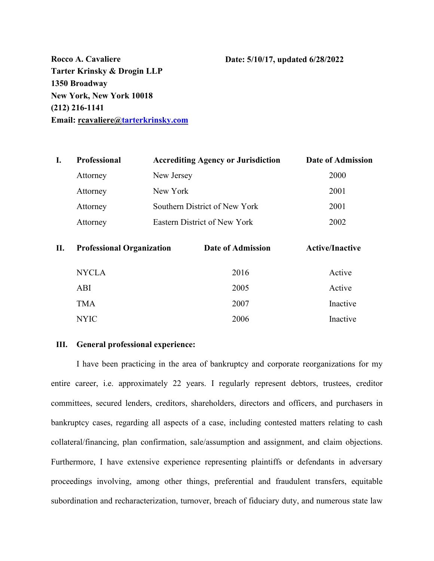**Date: 5/10/17, updated 6/28/2022**

**Rocco A. Cavaliere Tarter Krinsky & Drogin LLP 1350 Broadway New York, New York 10018 (212) 216-1141 Email: rcavaliere[@tarterkrinsky.com](http://tarterkrinsky.com/)** 

| I. | <b>Professional</b>                       |                              | <b>Accrediting Agency or Jurisdiction</b> | Date of Admission      |
|----|-------------------------------------------|------------------------------|-------------------------------------------|------------------------|
|    | Attorney                                  | New Jersey                   |                                           | 2000                   |
|    | Attorney                                  | New York                     |                                           | 2001                   |
|    | Southern District of New York<br>Attorney |                              |                                           | 2001<br>2002           |
|    | Attorney                                  | Eastern District of New York |                                           |                        |
| П. | <b>Professional Organization</b>          |                              | Date of Admission                         | <b>Active/Inactive</b> |
|    | <b>NYCLA</b>                              |                              | 2016                                      | Active                 |
|    | ABI                                       |                              | 2005                                      | Active                 |
|    | TMA                                       |                              | 2007                                      | Inactive               |
|    |                                           |                              |                                           |                        |

# **III. General professional experience:**

I have been practicing in the area of bankruptcy and corporate reorganizations for my entire career, i.e. approximately 22 years. I regularly represent debtors, trustees, creditor committees, secured lenders, creditors, shareholders, directors and officers, and purchasers in bankruptcy cases, regarding all aspects of a case, including contested matters relating to cash collateral/financing, plan confirmation, sale/assumption and assignment, and claim objections. Furthermore, I have extensive experience representing plaintiffs or defendants in adversary proceedings involving, among other things, preferential and fraudulent transfers, equitable subordination and recharacterization, turnover, breach of fiduciary duty, and numerous state law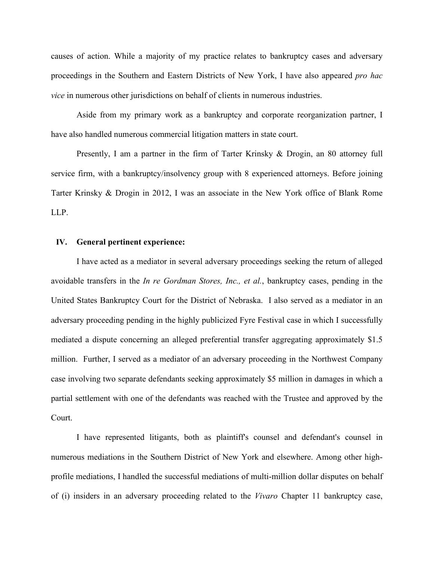causes of action. While a majority of my practice relates to bankruptcy cases and adversary proceedings in the Southern and Eastern Districts of New York, I have also appeared *pro hac vice* in numerous other jurisdictions on behalf of clients in numerous industries.

Aside from my primary work as a bankruptcy and corporate reorganization partner, I have also handled numerous commercial litigation matters in state court.

Presently, I am a partner in the firm of Tarter Krinsky & Drogin, an 80 attorney full service firm, with a bankruptcy/insolvency group with 8 experienced attorneys. Before joining Tarter Krinsky & Drogin in 2012, I was an associate in the New York office of Blank Rome LLP.

### **IV. General pertinent experience:**

I have acted as a mediator in several adversary proceedings seeking the return of alleged avoidable transfers in the *In re Gordman Stores, Inc., et al.*, bankruptcy cases, pending in the United States Bankruptcy Court for the District of Nebraska. I also served as a mediator in an adversary proceeding pending in the highly publicized Fyre Festival case in which I successfully mediated a dispute concerning an alleged preferential transfer aggregating approximately \$1.5 million. Further, I served as a mediator of an adversary proceeding in the Northwest Company case involving two separate defendants seeking approximately \$5 million in damages in which a partial settlement with one of the defendants was reached with the Trustee and approved by the Court.

I have represented litigants, both as plaintiff's counsel and defendant's counsel in numerous mediations in the Southern District of New York and elsewhere. Among other highprofile mediations, I handled the successful mediations of multi-million dollar disputes on behalf of (i) insiders in an adversary proceeding related to the *Vivaro* Chapter 11 bankruptcy case,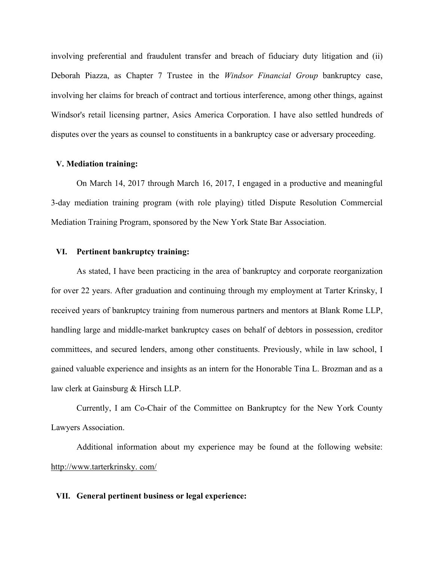involving preferential and fraudulent transfer and breach of fiduciary duty litigation and (ii) Deborah Piazza, as Chapter 7 Trustee in the *Windsor Financial Group* bankruptcy case, involving her claims for breach of contract and tortious interference, among other things, against Windsor's retail licensing partner, Asics America Corporation. I have also settled hundreds of disputes over the years as counsel to constituents in a bankruptcy case or adversary proceeding.

# **V. Mediation training:**

On March 14, 2017 through March 16, 2017, I engaged in a productive and meaningful 3-day mediation training program (with role playing) titled Dispute Resolution Commercial Mediation Training Program, sponsored by the New York State Bar Association.

# **VI. Pertinent bankruptcy training:**

As stated, I have been practicing in the area of bankruptcy and corporate reorganization for over 22 years. After graduation and continuing through my employment at Tarter Krinsky, I received years of bankruptcy training from numerous partners and mentors at Blank Rome LLP, handling large and middle-market bankruptcy cases on behalf of debtors in possession, creditor committees, and secured lenders, among other constituents. Previously, while in law school, I gained valuable experience and insights as an intern for the Honorable Tina L. Brozman and as a law clerk at Gainsburg & Hirsch LLP.

Currently, I am Co-Chair of the Committee on Bankruptcy for the New York County Lawyers Association.

Additional information about my experience may be found at the following website: http://www.tarterkrinsky. com/

### **VII. General pertinent business or legal experience:**